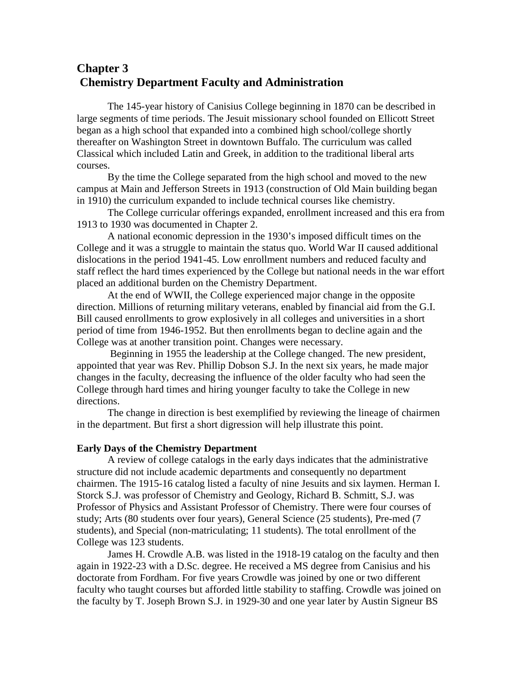# **Chapter 3 Chemistry Department Faculty and Administration**

 The 145-year history of Canisius College beginning in 1870 can be described in large segments of time periods. The Jesuit missionary school founded on Ellicott Street began as a high school that expanded into a combined high school/college shortly thereafter on Washington Street in downtown Buffalo. The curriculum was called Classical which included Latin and Greek, in addition to the traditional liberal arts courses.

By the time the College separated from the high school and moved to the new campus at Main and Jefferson Streets in 1913 (construction of Old Main building began in 1910) the curriculum expanded to include technical courses like chemistry.

The College curricular offerings expanded, enrollment increased and this era from 1913 to 1930 was documented in Chapter 2.

 A national economic depression in the 1930's imposed difficult times on the College and it was a struggle to maintain the status quo. World War II caused additional dislocations in the period 1941-45. Low enrollment numbers and reduced faculty and staff reflect the hard times experienced by the College but national needs in the war effort placed an additional burden on the Chemistry Department.

 At the end of WWII, the College experienced major change in the opposite direction. Millions of returning military veterans, enabled by financial aid from the G.I. Bill caused enrollments to grow explosively in all colleges and universities in a short period of time from 1946-1952. But then enrollments began to decline again and the College was at another transition point. Changes were necessary.

 Beginning in 1955 the leadership at the College changed. The new president, appointed that year was Rev. Phillip Dobson S.J. In the next six years, he made major changes in the faculty, decreasing the influence of the older faculty who had seen the College through hard times and hiring younger faculty to take the College in new directions.

The change in direction is best exemplified by reviewing the lineage of chairmen in the department. But first a short digression will help illustrate this point.

#### **Early Days of the Chemistry Department**

A review of college catalogs in the early days indicates that the administrative structure did not include academic departments and consequently no department chairmen. The 1915-16 catalog listed a faculty of nine Jesuits and six laymen. Herman I. Storck S.J. was professor of Chemistry and Geology, Richard B. Schmitt, S.J. was Professor of Physics and Assistant Professor of Chemistry. There were four courses of study; Arts (80 students over four years), General Science (25 students), Pre-med (7 students), and Special (non-matriculating; 11 students). The total enrollment of the College was 123 students.

 James H. Crowdle A.B. was listed in the 1918-19 catalog on the faculty and then again in 1922-23 with a D.Sc. degree. He received a MS degree from Canisius and his doctorate from Fordham. For five years Crowdle was joined by one or two different faculty who taught courses but afforded little stability to staffing. Crowdle was joined on the faculty by T. Joseph Brown S.J. in 1929-30 and one year later by Austin Signeur BS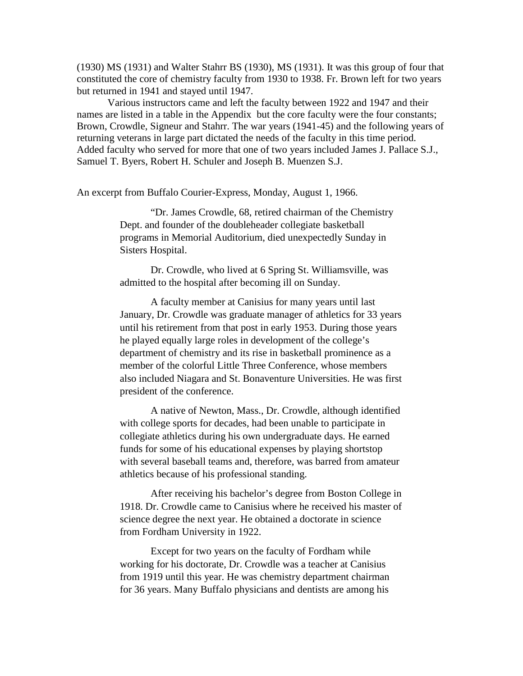(1930) MS (1931) and Walter Stahrr BS (1930), MS (1931). It was this group of four that constituted the core of chemistry faculty from 1930 to 1938. Fr. Brown left for two years but returned in 1941 and stayed until 1947.

 Various instructors came and left the faculty between 1922 and 1947 and their names are listed in a table in the Appendix but the core faculty were the four constants; Brown, Crowdle, Signeur and Stahrr. The war years (1941-45) and the following years of returning veterans in large part dictated the needs of the faculty in this time period. Added faculty who served for more that one of two years included James J. Pallace S.J., Samuel T. Byers, Robert H. Schuler and Joseph B. Muenzen S.J.

An excerpt from Buffalo Courier-Express, Monday, August 1, 1966.

"Dr. James Crowdle, 68, retired chairman of the Chemistry Dept. and founder of the doubleheader collegiate basketball programs in Memorial Auditorium, died unexpectedly Sunday in Sisters Hospital.

Dr. Crowdle, who lived at 6 Spring St. Williamsville, was admitted to the hospital after becoming ill on Sunday.

A faculty member at Canisius for many years until last January, Dr. Crowdle was graduate manager of athletics for 33 years until his retirement from that post in early 1953. During those years he played equally large roles in development of the college's department of chemistry and its rise in basketball prominence as a member of the colorful Little Three Conference, whose members also included Niagara and St. Bonaventure Universities. He was first president of the conference.

A native of Newton, Mass., Dr. Crowdle, although identified with college sports for decades, had been unable to participate in collegiate athletics during his own undergraduate days. He earned funds for some of his educational expenses by playing shortstop with several baseball teams and, therefore, was barred from amateur athletics because of his professional standing.

After receiving his bachelor's degree from Boston College in 1918. Dr. Crowdle came to Canisius where he received his master of science degree the next year. He obtained a doctorate in science from Fordham University in 1922.

Except for two years on the faculty of Fordham while working for his doctorate, Dr. Crowdle was a teacher at Canisius from 1919 until this year. He was chemistry department chairman for 36 years. Many Buffalo physicians and dentists are among his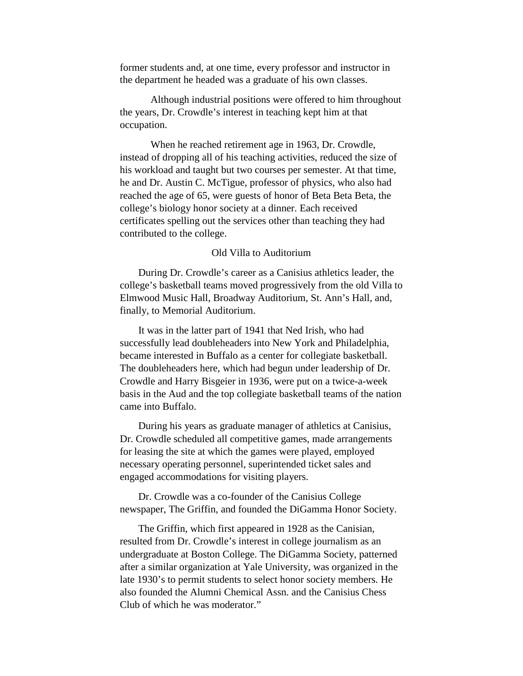former students and, at one time, every professor and instructor in the department he headed was a graduate of his own classes.

Although industrial positions were offered to him throughout the years, Dr. Crowdle's interest in teaching kept him at that occupation.

When he reached retirement age in 1963, Dr. Crowdle, instead of dropping all of his teaching activities, reduced the size of his workload and taught but two courses per semester. At that time, he and Dr. Austin C. McTigue, professor of physics, who also had reached the age of 65, were guests of honor of Beta Beta Beta, the college's biology honor society at a dinner. Each received certificates spelling out the services other than teaching they had contributed to the college.

#### Old Villa to Auditorium

During Dr. Crowdle's career as a Canisius athletics leader, the college's basketball teams moved progressively from the old Villa to Elmwood Music Hall, Broadway Auditorium, St. Ann's Hall, and, finally, to Memorial Auditorium.

 It was in the latter part of 1941 that Ned Irish, who had successfully lead doubleheaders into New York and Philadelphia, became interested in Buffalo as a center for collegiate basketball. The doubleheaders here, which had begun under leadership of Dr. Crowdle and Harry Bisgeier in 1936, were put on a twice-a-week basis in the Aud and the top collegiate basketball teams of the nation came into Buffalo.

 During his years as graduate manager of athletics at Canisius, Dr. Crowdle scheduled all competitive games, made arrangements for leasing the site at which the games were played, employed necessary operating personnel, superintended ticket sales and engaged accommodations for visiting players.

Dr. Crowdle was a co-founder of the Canisius College newspaper, The Griffin, and founded the DiGamma Honor Society.

 The Griffin, which first appeared in 1928 as the Canisian, resulted from Dr. Crowdle's interest in college journalism as an undergraduate at Boston College. The DiGamma Society, patterned after a similar organization at Yale University, was organized in the late 1930's to permit students to select honor society members. He also founded the Alumni Chemical Assn. and the Canisius Chess Club of which he was moderator."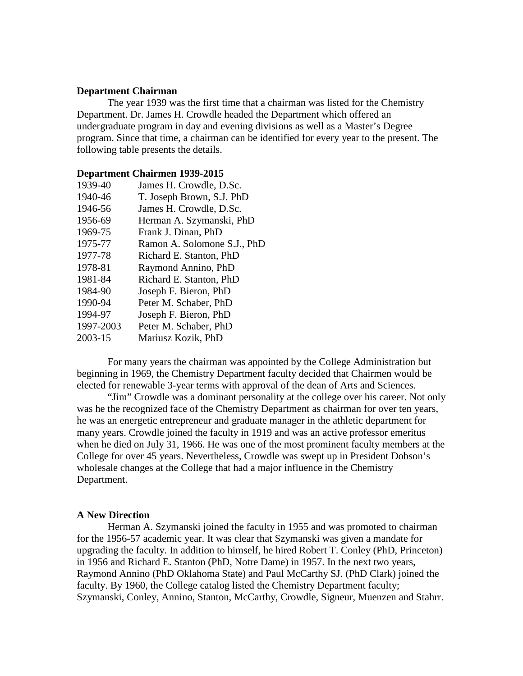#### **Department Chairman**

 The year 1939 was the first time that a chairman was listed for the Chemistry Department. Dr. James H. Crowdle headed the Department which offered an undergraduate program in day and evening divisions as well as a Master's Degree program. Since that time, a chairman can be identified for every year to the present. The following table presents the details.

#### **Department Chairmen 1939-2015**

| 1939-40   | James H. Crowdle, D.Sc.     |
|-----------|-----------------------------|
| 1940-46   | T. Joseph Brown, S.J. PhD   |
| 1946-56   | James H. Crowdle, D.Sc.     |
| 1956-69   | Herman A. Szymanski, PhD    |
| 1969-75   | Frank J. Dinan, PhD         |
| 1975-77   | Ramon A. Solomone S.J., PhD |
| 1977-78   | Richard E. Stanton, PhD     |
| 1978-81   | Raymond Annino, PhD         |
| 1981-84   | Richard E. Stanton, PhD     |
| 1984-90   | Joseph F. Bieron, PhD       |
| 1990-94   | Peter M. Schaber, PhD       |
| 1994-97   | Joseph F. Bieron, PhD       |
| 1997-2003 | Peter M. Schaber, PhD       |
| 2003-15   | Mariusz Kozik, PhD          |
|           |                             |

For many years the chairman was appointed by the College Administration but beginning in 1969, the Chemistry Department faculty decided that Chairmen would be elected for renewable 3-year terms with approval of the dean of Arts and Sciences.

"Jim" Crowdle was a dominant personality at the college over his career. Not only was he the recognized face of the Chemistry Department as chairman for over ten years, he was an energetic entrepreneur and graduate manager in the athletic department for many years. Crowdle joined the faculty in 1919 and was an active professor emeritus when he died on July 31, 1966. He was one of the most prominent faculty members at the College for over 45 years. Nevertheless, Crowdle was swept up in President Dobson's wholesale changes at the College that had a major influence in the Chemistry Department.

#### **A New Direction**

Herman A. Szymanski joined the faculty in 1955 and was promoted to chairman for the 1956-57 academic year. It was clear that Szymanski was given a mandate for upgrading the faculty. In addition to himself, he hired Robert T. Conley (PhD, Princeton) in 1956 and Richard E. Stanton (PhD, Notre Dame) in 1957. In the next two years, Raymond Annino (PhD Oklahoma State) and Paul McCarthy SJ. (PhD Clark) joined the faculty. By 1960, the College catalog listed the Chemistry Department faculty; Szymanski, Conley, Annino, Stanton, McCarthy, Crowdle, Signeur, Muenzen and Stahrr.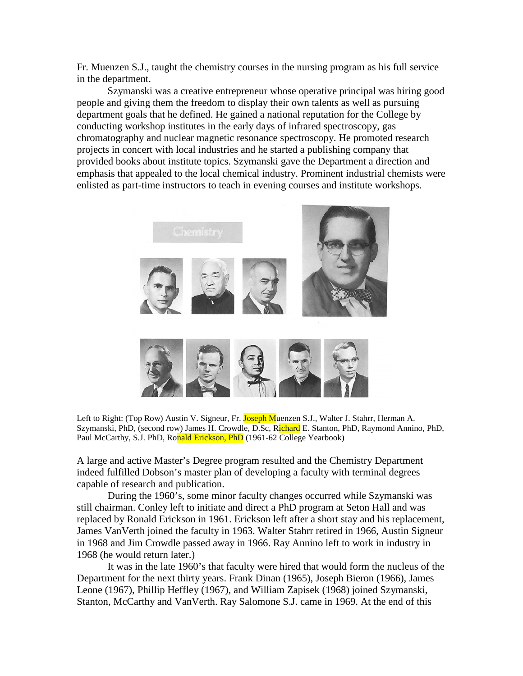Fr. Muenzen S.J., taught the chemistry courses in the nursing program as his full service in the department.

Szymanski was a creative entrepreneur whose operative principal was hiring good people and giving them the freedom to display their own talents as well as pursuing department goals that he defined. He gained a national reputation for the College by conducting workshop institutes in the early days of infrared spectroscopy, gas chromatography and nuclear magnetic resonance spectroscopy. He promoted research projects in concert with local industries and he started a publishing company that provided books about institute topics. Szymanski gave the Department a direction and emphasis that appealed to the local chemical industry. Prominent industrial chemists were enlisted as part-time instructors to teach in evening courses and institute workshops.



Left to Right: (Top Row) Austin V. Signeur, Fr. Joseph Muenzen S.J., Walter J. Stahrr, Herman A. Szymanski, PhD, (second row) James H. Crowdle, D.Sc, Richard E. Stanton, PhD, Raymond Annino, PhD, Paul McCarthy, S.J. PhD, Ronald Erickson, PhD (1961-62 College Yearbook)

A large and active Master's Degree program resulted and the Chemistry Department indeed fulfilled Dobson's master plan of developing a faculty with terminal degrees capable of research and publication.

 During the 1960's, some minor faculty changes occurred while Szymanski was still chairman. Conley left to initiate and direct a PhD program at Seton Hall and was replaced by Ronald Erickson in 1961. Erickson left after a short stay and his replacement, James VanVerth joined the faculty in 1963. Walter Stahrr retired in 1966, Austin Signeur in 1968 and Jim Crowdle passed away in 1966. Ray Annino left to work in industry in 1968 (he would return later.)

 It was in the late 1960's that faculty were hired that would form the nucleus of the Department for the next thirty years. Frank Dinan (1965), Joseph Bieron (1966), James Leone (1967), Phillip Heffley (1967), and William Zapisek (1968) joined Szymanski, Stanton, McCarthy and VanVerth. Ray Salomone S.J. came in 1969. At the end of this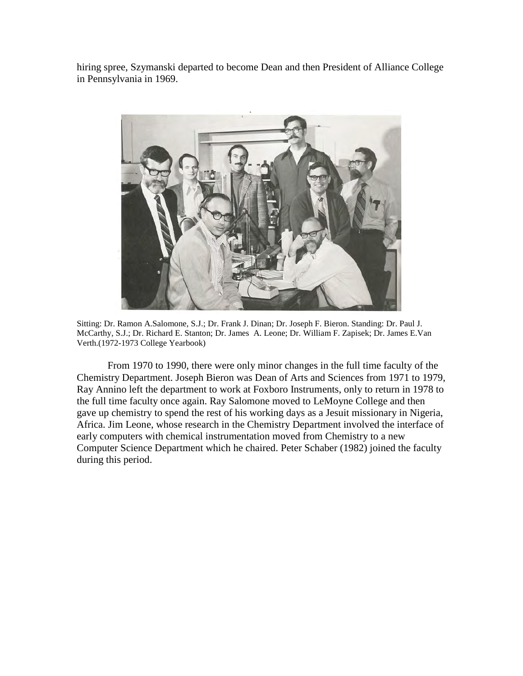hiring spree, Szymanski departed to become Dean and then President of Alliance College in Pennsylvania in 1969.



Sitting: Dr. Ramon A.Salomone, S.J.; Dr. Frank J. Dinan; Dr. Joseph F. Bieron. Standing: Dr. Paul J. McCarthy, S.J.; Dr. Richard E. Stanton; Dr. James A. Leone; Dr. William F. Zapisek; Dr. James E.Van Verth.(1972-1973 College Yearbook)

 From 1970 to 1990, there were only minor changes in the full time faculty of the Chemistry Department. Joseph Bieron was Dean of Arts and Sciences from 1971 to 1979, Ray Annino left the department to work at Foxboro Instruments, only to return in 1978 to the full time faculty once again. Ray Salomone moved to LeMoyne College and then gave up chemistry to spend the rest of his working days as a Jesuit missionary in Nigeria, Africa. Jim Leone, whose research in the Chemistry Department involved the interface of early computers with chemical instrumentation moved from Chemistry to a new Computer Science Department which he chaired. Peter Schaber (1982) joined the faculty during this period.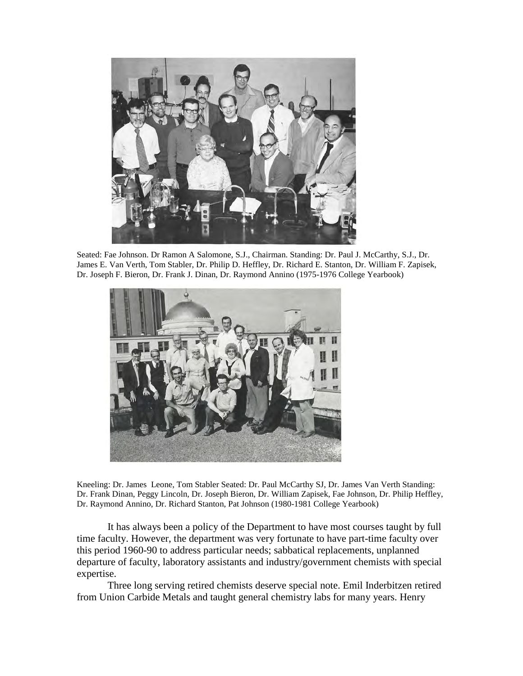

Seated: Fae Johnson. Dr Ramon A Salomone, S.J., Chairman. Standing: Dr. Paul J. McCarthy, S.J., Dr. James E. Van Verth, Tom Stabler, Dr. Philip D. Heffley, Dr. Richard E. Stanton, Dr. William F. Zapisek, Dr. Joseph F. Bieron, Dr. Frank J. Dinan, Dr. Raymond Annino (1975-1976 College Yearbook)



Kneeling: Dr. James Leone, Tom Stabler Seated: Dr. Paul McCarthy SJ, Dr. James Van Verth Standing: Dr. Frank Dinan, Peggy Lincoln, Dr. Joseph Bieron, Dr. William Zapisek, Fae Johnson, Dr. Philip Heffley, Dr. Raymond Annino, Dr. Richard Stanton, Pat Johnson (1980-1981 College Yearbook)

It has always been a policy of the Department to have most courses taught by full time faculty. However, the department was very fortunate to have part-time faculty over this period 1960-90 to address particular needs; sabbatical replacements, unplanned departure of faculty, laboratory assistants and industry/government chemists with special expertise.

Three long serving retired chemists deserve special note. Emil Inderbitzen retired from Union Carbide Metals and taught general chemistry labs for many years. Henry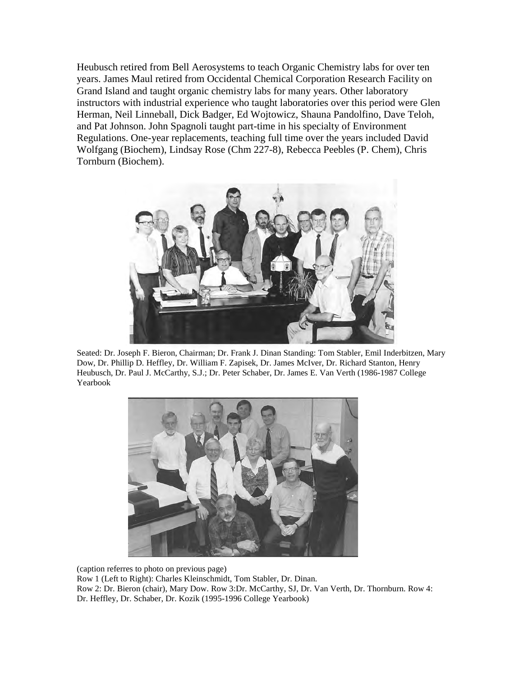Heubusch retired from Bell Aerosystems to teach Organic Chemistry labs for over ten years. James Maul retired from Occidental Chemical Corporation Research Facility on Grand Island and taught organic chemistry labs for many years. Other laboratory instructors with industrial experience who taught laboratories over this period were Glen Herman, Neil Linneball, Dick Badger, Ed Wojtowicz, Shauna Pandolfino, Dave Teloh, and Pat Johnson. John Spagnoli taught part-time in his specialty of Environment Regulations. One-year replacements, teaching full time over the years included David Wolfgang (Biochem), Lindsay Rose (Chm 227-8), Rebecca Peebles (P. Chem), Chris Tornburn (Biochem).



Seated: Dr. Joseph F. Bieron, Chairman; Dr. Frank J. Dinan Standing: Tom Stabler, Emil Inderbitzen, Mary Dow, Dr. Phillip D. Heffley, Dr. William F. Zapisek, Dr. James McIver, Dr. Richard Stanton, Henry Heubusch, Dr. Paul J. McCarthy, S.J.; Dr. Peter Schaber, Dr. James E. Van Verth (1986-1987 College Yearbook



(caption referres to photo on previous page) Row 1 (Left to Right): Charles Kleinschmidt, Tom Stabler, Dr. Dinan. Row 2: Dr. Bieron (chair), Mary Dow. Row 3:Dr. McCarthy, SJ, Dr. Van Verth, Dr. Thornburn. Row 4: Dr. Heffley, Dr. Schaber, Dr. Kozik (1995-1996 College Yearbook)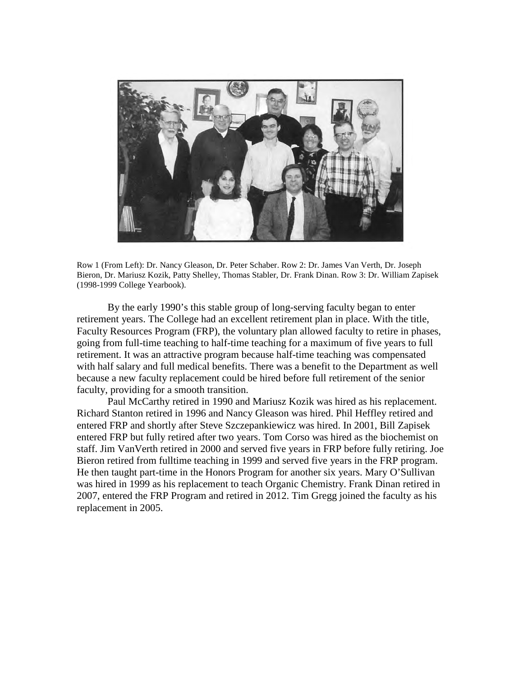

Row 1 (From Left): Dr. Nancy Gleason, Dr. Peter Schaber. Row 2: Dr. James Van Verth, Dr. Joseph Bieron, Dr. Mariusz Kozik, Patty Shelley, Thomas Stabler, Dr. Frank Dinan. Row 3: Dr. William Zapisek (1998-1999 College Yearbook).

By the early 1990's this stable group of long-serving faculty began to enter retirement years. The College had an excellent retirement plan in place. With the title, Faculty Resources Program (FRP), the voluntary plan allowed faculty to retire in phases, going from full-time teaching to half-time teaching for a maximum of five years to full retirement. It was an attractive program because half-time teaching was compensated with half salary and full medical benefits. There was a benefit to the Department as well because a new faculty replacement could be hired before full retirement of the senior faculty, providing for a smooth transition.

 Paul McCarthy retired in 1990 and Mariusz Kozik was hired as his replacement. Richard Stanton retired in 1996 and Nancy Gleason was hired. Phil Heffley retired and entered FRP and shortly after Steve Szczepankiewicz was hired. In 2001, Bill Zapisek entered FRP but fully retired after two years. Tom Corso was hired as the biochemist on staff. Jim VanVerth retired in 2000 and served five years in FRP before fully retiring. Joe Bieron retired from fulltime teaching in 1999 and served five years in the FRP program. He then taught part-time in the Honors Program for another six years. Mary O'Sullivan was hired in 1999 as his replacement to teach Organic Chemistry. Frank Dinan retired in 2007, entered the FRP Program and retired in 2012. Tim Gregg joined the faculty as his replacement in 2005.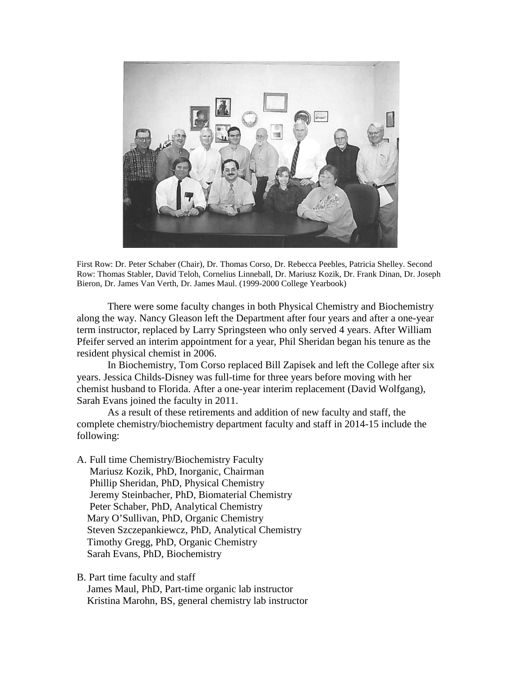

First Row: Dr. Peter Schaber (Chair), Dr. Thomas Corso, Dr. Rebecca Peebles, Patricia Shelley. Second Row: Thomas Stabler, David Teloh, Cornelius Linneball, Dr. Mariusz Kozik, Dr. Frank Dinan, Dr. Joseph Bieron, Dr. James Van Verth, Dr. James Maul. (1999-2000 College Yearbook)

There were some faculty changes in both Physical Chemistry and Biochemistry along the way. Nancy Gleason left the Department after four years and after a one-year term instructor, replaced by Larry Springsteen who only served 4 years. After William Pfeifer served an interim appointment for a year, Phil Sheridan began his tenure as the resident physical chemist in 2006.

In Biochemistry, Tom Corso replaced Bill Zapisek and left the College after six years. Jessica Childs-Disney was full-time for three years before moving with her chemist husband to Florida. After a one-year interim replacement (David Wolfgang), Sarah Evans joined the faculty in 2011.

 As a result of these retirements and addition of new faculty and staff, the complete chemistry/biochemistry department faculty and staff in 2014-15 include the following:

- A. Full time Chemistry/Biochemistry Faculty Mariusz Kozik, PhD, Inorganic, Chairman Phillip Sheridan, PhD, Physical Chemistry Jeremy Steinbacher, PhD, Biomaterial Chemistry Peter Schaber, PhD, Analytical Chemistry Mary O'Sullivan, PhD, Organic Chemistry Steven Szczepankiewcz, PhD, Analytical Chemistry Timothy Gregg, PhD, Organic Chemistry Sarah Evans, PhD, Biochemistry
- B. Part time faculty and staff James Maul, PhD, Part-time organic lab instructor Kristina Marohn, BS, general chemistry lab instructor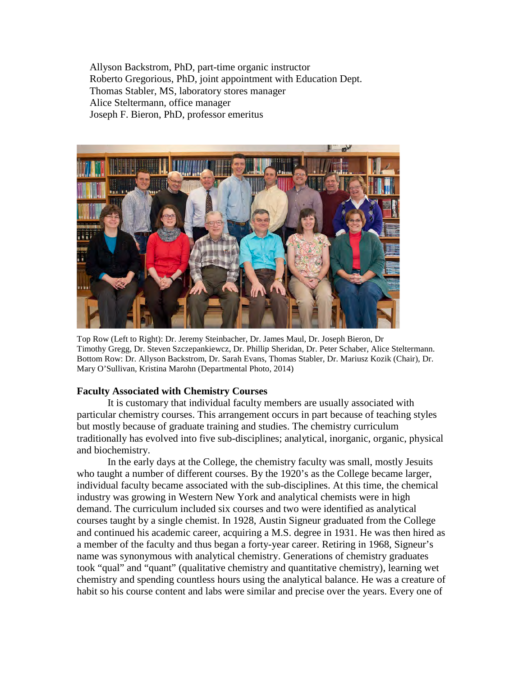Allyson Backstrom, PhD, part-time organic instructor Roberto Gregorious, PhD, joint appointment with Education Dept. Thomas Stabler, MS, laboratory stores manager Alice Steltermann, office manager Joseph F. Bieron, PhD, professor emeritus



Top Row (Left to Right): Dr. Jeremy Steinbacher, Dr. James Maul, Dr. Joseph Bieron, Dr Timothy Gregg, Dr. Steven Szczepankiewcz, Dr. Phillip Sheridan, Dr. Peter Schaber, Alice Steltermann. Bottom Row: Dr. Allyson Backstrom, Dr. Sarah Evans, Thomas Stabler, Dr. Mariusz Kozik (Chair), Dr. Mary O'Sullivan, Kristina Marohn (Departmental Photo, 2014)

### **Faculty Associated with Chemistry Courses**

It is customary that individual faculty members are usually associated with particular chemistry courses. This arrangement occurs in part because of teaching styles but mostly because of graduate training and studies. The chemistry curriculum traditionally has evolved into five sub-disciplines; analytical, inorganic, organic, physical and biochemistry.

In the early days at the College, the chemistry faculty was small, mostly Jesuits who taught a number of different courses. By the 1920's as the College became larger, individual faculty became associated with the sub-disciplines. At this time, the chemical industry was growing in Western New York and analytical chemists were in high demand. The curriculum included six courses and two were identified as analytical courses taught by a single chemist. In 1928, Austin Signeur graduated from the College and continued his academic career, acquiring a M.S. degree in 1931. He was then hired as a member of the faculty and thus began a forty-year career. Retiring in 1968, Signeur's name was synonymous with analytical chemistry. Generations of chemistry graduates took "qual" and "quant" (qualitative chemistry and quantitative chemistry), learning wet chemistry and spending countless hours using the analytical balance. He was a creature of habit so his course content and labs were similar and precise over the years. Every one of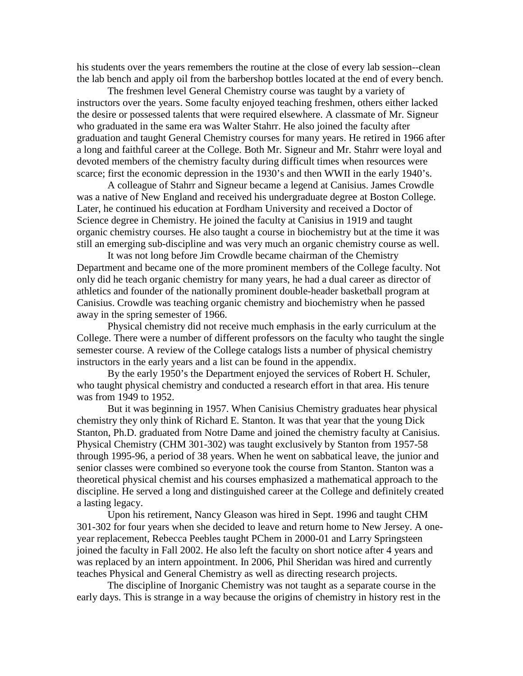his students over the years remembers the routine at the close of every lab session--clean the lab bench and apply oil from the barbershop bottles located at the end of every bench.

The freshmen level General Chemistry course was taught by a variety of instructors over the years. Some faculty enjoyed teaching freshmen, others either lacked the desire or possessed talents that were required elsewhere. A classmate of Mr. Signeur who graduated in the same era was Walter Stahrr. He also joined the faculty after graduation and taught General Chemistry courses for many years. He retired in 1966 after a long and faithful career at the College. Both Mr. Signeur and Mr. Stahrr were loyal and devoted members of the chemistry faculty during difficult times when resources were scarce; first the economic depression in the 1930's and then WWII in the early 1940's.

A colleague of Stahrr and Signeur became a legend at Canisius. James Crowdle was a native of New England and received his undergraduate degree at Boston College. Later, he continued his education at Fordham University and received a Doctor of Science degree in Chemistry. He joined the faculty at Canisius in 1919 and taught organic chemistry courses. He also taught a course in biochemistry but at the time it was still an emerging sub-discipline and was very much an organic chemistry course as well.

It was not long before Jim Crowdle became chairman of the Chemistry Department and became one of the more prominent members of the College faculty. Not only did he teach organic chemistry for many years, he had a dual career as director of athletics and founder of the nationally prominent double-header basketball program at Canisius. Crowdle was teaching organic chemistry and biochemistry when he passed away in the spring semester of 1966.

Physical chemistry did not receive much emphasis in the early curriculum at the College. There were a number of different professors on the faculty who taught the single semester course. A review of the College catalogs lists a number of physical chemistry instructors in the early years and a list can be found in the appendix.

By the early 1950's the Department enjoyed the services of Robert H. Schuler, who taught physical chemistry and conducted a research effort in that area. His tenure was from 1949 to 1952.

 But it was beginning in 1957. When Canisius Chemistry graduates hear physical chemistry they only think of Richard E. Stanton. It was that year that the young Dick Stanton, Ph.D. graduated from Notre Dame and joined the chemistry faculty at Canisius. Physical Chemistry (CHM 301-302) was taught exclusively by Stanton from 1957-58 through 1995-96, a period of 38 years. When he went on sabbatical leave, the junior and senior classes were combined so everyone took the course from Stanton. Stanton was a theoretical physical chemist and his courses emphasized a mathematical approach to the discipline. He served a long and distinguished career at the College and definitely created a lasting legacy.

Upon his retirement, Nancy Gleason was hired in Sept. 1996 and taught CHM 301-302 for four years when she decided to leave and return home to New Jersey. A oneyear replacement, Rebecca Peebles taught PChem in 2000-01 and Larry Springsteen joined the faculty in Fall 2002. He also left the faculty on short notice after 4 years and was replaced by an intern appointment. In 2006, Phil Sheridan was hired and currently teaches Physical and General Chemistry as well as directing research projects.

The discipline of Inorganic Chemistry was not taught as a separate course in the early days. This is strange in a way because the origins of chemistry in history rest in the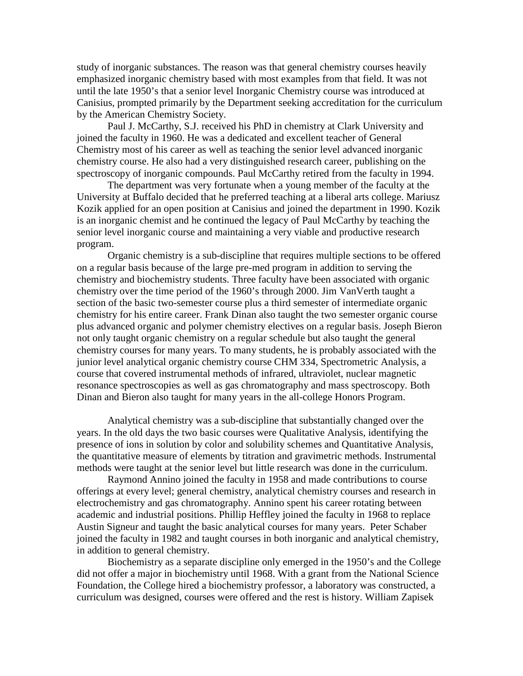study of inorganic substances. The reason was that general chemistry courses heavily emphasized inorganic chemistry based with most examples from that field. It was not until the late 1950's that a senior level Inorganic Chemistry course was introduced at Canisius, prompted primarily by the Department seeking accreditation for the curriculum by the American Chemistry Society.

Paul J. McCarthy, S.J. received his PhD in chemistry at Clark University and joined the faculty in 1960. He was a dedicated and excellent teacher of General Chemistry most of his career as well as teaching the senior level advanced inorganic chemistry course. He also had a very distinguished research career, publishing on the spectroscopy of inorganic compounds. Paul McCarthy retired from the faculty in 1994.

The department was very fortunate when a young member of the faculty at the University at Buffalo decided that he preferred teaching at a liberal arts college. Mariusz Kozik applied for an open position at Canisius and joined the department in 1990. Kozik is an inorganic chemist and he continued the legacy of Paul McCarthy by teaching the senior level inorganic course and maintaining a very viable and productive research program.

Organic chemistry is a sub-discipline that requires multiple sections to be offered on a regular basis because of the large pre-med program in addition to serving the chemistry and biochemistry students. Three faculty have been associated with organic chemistry over the time period of the 1960's through 2000. Jim VanVerth taught a section of the basic two-semester course plus a third semester of intermediate organic chemistry for his entire career. Frank Dinan also taught the two semester organic course plus advanced organic and polymer chemistry electives on a regular basis. Joseph Bieron not only taught organic chemistry on a regular schedule but also taught the general chemistry courses for many years. To many students, he is probably associated with the junior level analytical organic chemistry course CHM 334, Spectrometric Analysis, a course that covered instrumental methods of infrared, ultraviolet, nuclear magnetic resonance spectroscopies as well as gas chromatography and mass spectroscopy. Both Dinan and Bieron also taught for many years in the all-college Honors Program.

Analytical chemistry was a sub-discipline that substantially changed over the years. In the old days the two basic courses were Qualitative Analysis, identifying the presence of ions in solution by color and solubility schemes and Quantitative Analysis, the quantitative measure of elements by titration and gravimetric methods. Instrumental methods were taught at the senior level but little research was done in the curriculum.

Raymond Annino joined the faculty in 1958 and made contributions to course offerings at every level; general chemistry, analytical chemistry courses and research in electrochemistry and gas chromatography. Annino spent his career rotating between academic and industrial positions. Phillip Heffley joined the faculty in 1968 to replace Austin Signeur and taught the basic analytical courses for many years. Peter Schaber joined the faculty in 1982 and taught courses in both inorganic and analytical chemistry, in addition to general chemistry.

Biochemistry as a separate discipline only emerged in the 1950's and the College did not offer a major in biochemistry until 1968. With a grant from the National Science Foundation, the College hired a biochemistry professor, a laboratory was constructed, a curriculum was designed, courses were offered and the rest is history. William Zapisek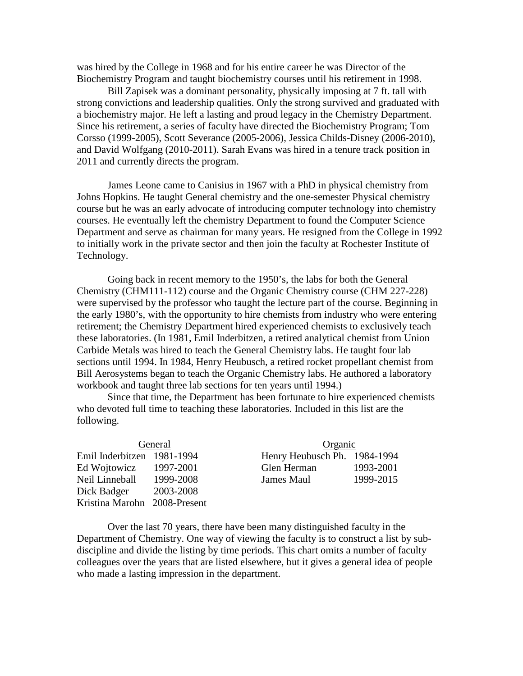was hired by the College in 1968 and for his entire career he was Director of the Biochemistry Program and taught biochemistry courses until his retirement in 1998.

 Bill Zapisek was a dominant personality, physically imposing at 7 ft. tall with strong convictions and leadership qualities. Only the strong survived and graduated with a biochemistry major. He left a lasting and proud legacy in the Chemistry Department. Since his retirement, a series of faculty have directed the Biochemistry Program; Tom Corsso (1999-2005), Scott Severance (2005-2006), Jessica Childs-Disney (2006-2010), and David Wolfgang (2010-2011). Sarah Evans was hired in a tenure track position in 2011 and currently directs the program.

James Leone came to Canisius in 1967 with a PhD in physical chemistry from Johns Hopkins. He taught General chemistry and the one-semester Physical chemistry course but he was an early advocate of introducing computer technology into chemistry courses. He eventually left the chemistry Department to found the Computer Science Department and serve as chairman for many years. He resigned from the College in 1992 to initially work in the private sector and then join the faculty at Rochester Institute of Technology.

Going back in recent memory to the 1950's, the labs for both the General Chemistry (CHM111-112) course and the Organic Chemistry course (CHM 227-228) were supervised by the professor who taught the lecture part of the course. Beginning in the early 1980's, with the opportunity to hire chemists from industry who were entering retirement; the Chemistry Department hired experienced chemists to exclusively teach these laboratories. (In 1981, Emil Inderbitzen, a retired analytical chemist from Union Carbide Metals was hired to teach the General Chemistry labs. He taught four lab sections until 1994. In 1984, Henry Heubusch, a retired rocket propellant chemist from Bill Aerosystems began to teach the Organic Chemistry labs. He authored a laboratory workbook and taught three lab sections for ten years until 1994.)

Since that time, the Department has been fortunate to hire experienced chemists who devoted full time to teaching these laboratories. Included in this list are the following.

| General                      |           | Organic                      |           |  |
|------------------------------|-----------|------------------------------|-----------|--|
| Emil Inderbitzen 1981-1994   |           | Henry Heubusch Ph. 1984-1994 |           |  |
| Ed Wojtowicz                 | 1997-2001 | Glen Herman                  | 1993-2001 |  |
| Neil Linneball               | 1999-2008 | James Maul                   | 1999-2015 |  |
| Dick Badger                  | 2003-2008 |                              |           |  |
| Kristina Marohn 2008-Present |           |                              |           |  |

Over the last 70 years, there have been many distinguished faculty in the Department of Chemistry. One way of viewing the faculty is to construct a list by subdiscipline and divide the listing by time periods. This chart omits a number of faculty colleagues over the years that are listed elsewhere, but it gives a general idea of people who made a lasting impression in the department.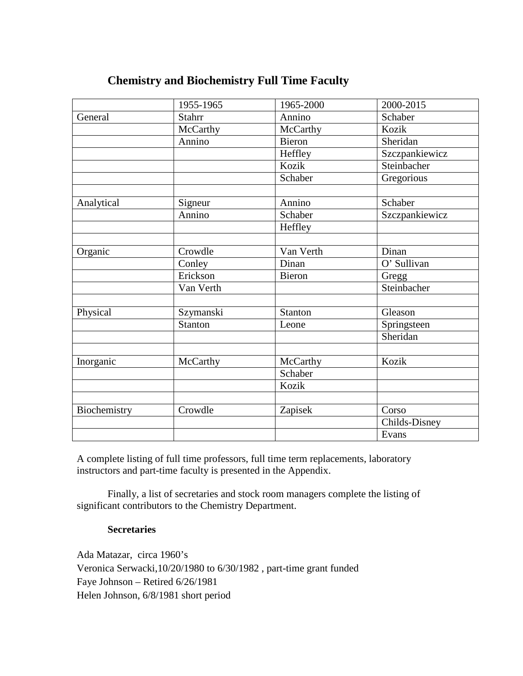| <b>Chemistry and Biochemistry Full Time Faculty</b> |  |  |  |
|-----------------------------------------------------|--|--|--|
|-----------------------------------------------------|--|--|--|

|              | 1955-1965     | 1965-2000      | 2000-2015      |
|--------------|---------------|----------------|----------------|
| General      | <b>Stahrr</b> | Annino         | Schaber        |
|              | McCarthy      | McCarthy       | Kozik          |
|              | Annino        | Bieron         | Sheridan       |
|              |               | Heffley        | Szczpankiewicz |
|              |               | Kozik          | Steinbacher    |
|              |               | Schaber        | Gregorious     |
| Analytical   | Signeur       | Annino         | Schaber        |
|              | Annino        | Schaber        | Szczpankiewicz |
|              |               | Heffley        |                |
|              |               |                |                |
| Organic      | Crowdle       | Van Verth      | Dinan          |
|              | Conley        | Dinan          | O' Sullivan    |
|              | Erickson      | <b>Bieron</b>  | Gregg          |
|              | Van Verth     |                | Steinbacher    |
| Physical     | Szymanski     | <b>Stanton</b> | Gleason        |
|              | Stanton       | Leone          | Springsteen    |
|              |               |                | Sheridan       |
|              |               |                |                |
| Inorganic    | McCarthy      | McCarthy       | Kozik          |
|              |               | Schaber        |                |
|              |               | Kozik          |                |
| Biochemistry | Crowdle       | Zapisek        | Corso          |
|              |               |                | Childs-Disney  |
|              |               |                | Evans          |

A complete listing of full time professors, full time term replacements, laboratory instructors and part-time faculty is presented in the Appendix.

Finally, a list of secretaries and stock room managers complete the listing of significant contributors to the Chemistry Department.

### **Secretaries**

Ada Matazar, circa 1960's Veronica Serwacki,10/20/1980 to 6/30/1982 , part-time grant funded Faye Johnson – Retired 6/26/1981 Helen Johnson, 6/8/1981 short period